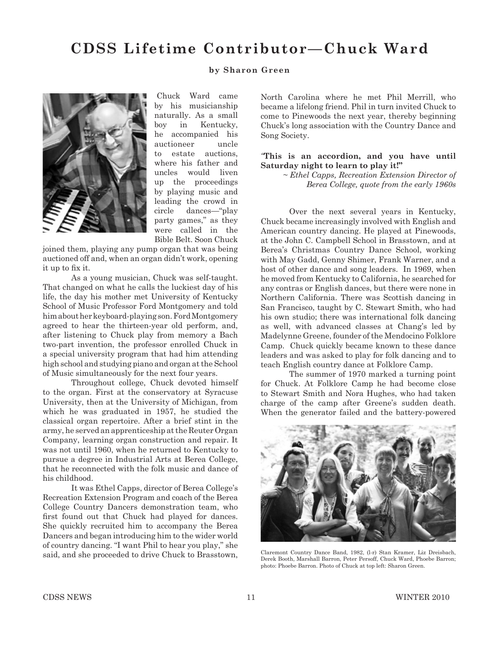# **CDSS Lifetime Contributor—Chuck Ward**

### **by Sharon Green**



Chuck Ward came by his musicianship naturally. As a small boy in Kentucky, he accompanied his auctioneer uncle to estate auctions, where his father and uncles would liven up the proceedings by playing music and leading the crowd in circle dances—"play party games," as they were called in the Bible Belt. Soon Chuck

joined them, playing any pump organ that was being auctioned off and, when an organ didn't work, opening it up to fix it.

As a young musician, Chuck was self-taught. That changed on what he calls the luckiest day of his life, the day his mother met University of Kentucky School of Music Professor Ford Montgomery and told him about her keyboard-playing son. Ford Montgomery agreed to hear the thirteen-year old perform, and, after listening to Chuck play from memory a Bach two-part invention, the professor enrolled Chuck in a special university program that had him attending high school and studying piano and organ at the School of Music simultaneously for the next four years.

Throughout college, Chuck devoted himself to the organ. First at the conservatory at Syracuse University, then at the University of Michigan, from which he was graduated in 1957, he studied the classical organ repertoire. After a brief stint in the army, he served an apprenticeship at the Reuter Organ Company, learning organ construction and repair. It was not until 1960, when he returned to Kentucky to pursue a degree in Industrial Arts at Berea College, that he reconnected with the folk music and dance of his childhood.

It was Ethel Capps, director of Berea College's Recreation Extension Program and coach of the Berea College Country Dancers demonstration team, who first found out that Chuck had played for dances. She quickly recruited him to accompany the Berea Dancers and began introducing him to the wider world of country dancing. "I want Phil to hear you play," she said, and she proceeded to drive Chuck to Brasstown,

North Carolina where he met Phil Merrill, who became a lifelong friend. Phil in turn invited Chuck to come to Pinewoods the next year, thereby beginning Chuck's long association with the Country Dance and Song Society.

#### *"***This is an accordion, and you have until Saturday night to learn to play it!"**

*~ Ethel Capps, Recreation Extension Director of Berea College, quote from the early 1960s*

Over the next several years in Kentucky, Chuck became increasingly involved with English and American country dancing. He played at Pinewoods, at the John C. Campbell School in Brasstown, and at Berea's Christmas Country Dance School, working with May Gadd, Genny Shimer, Frank Warner, and a host of other dance and song leaders. In 1969, when he moved from Kentucky to California, he searched for any contras or English dances, but there were none in Northern California. There was Scottish dancing in San Francisco, taught by C. Stewart Smith, who had his own studio; there was international folk dancing as well, with advanced classes at Chang's led by Madelynne Greene, founder of the Mendocino Folklore Camp. Chuck quickly became known to these dance leaders and was asked to play for folk dancing and to teach English country dance at Folklore Camp.

The summer of 1970 marked a turning point for Chuck. At Folklore Camp he had become close to Stewart Smith and Nora Hughes, who had taken charge of the camp after Greene's sudden death. When the generator failed and the battery-powered



Claremont Country Dance Band, 1982, (l-r) Stan Kramer, Liz Dreisbach, Derek Booth, Marshall Barron, Peter Persoff, Chuck Ward, Phoebe Barron; photo: Phoebe Barron. Photo of Chuck at top left: Sharon Green.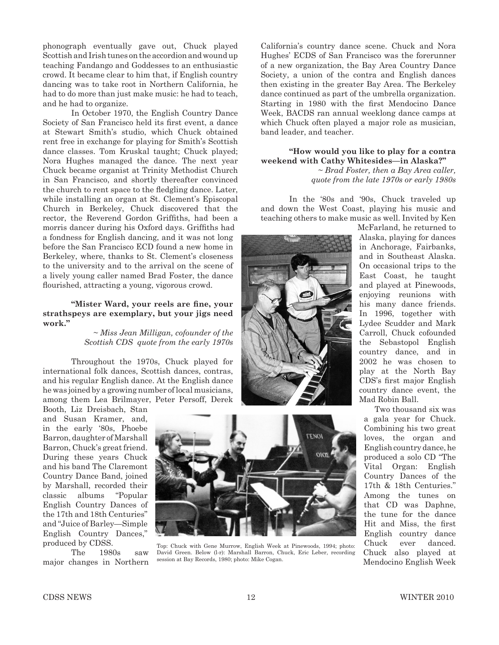phonograph eventually gave out, Chuck played Scottish and Irish tunes on the accordion and wound up teaching Fandango and Goddesses to an enthusiastic crowd. It became clear to him that, if English country dancing was to take root in Northern California, he had to do more than just make music: he had to teach, and he had to organize.

In October 1970, the English Country Dance Society of San Francisco held its first event, a dance at Stewart Smith's studio, which Chuck obtained rent free in exchange for playing for Smith's Scottish dance classes. Tom Kruskal taught; Chuck played; Nora Hughes managed the dance. The next year Chuck became organist at Trinity Methodist Church in San Francisco, and shortly thereafter convinced the church to rent space to the fledgling dance. Later, while installing an organ at St. Clement's Episcopal Church in Berkeley, Chuck discovered that the rector, the Reverend Gordon Griffiths, had been a morris dancer during his Oxford days. Griffiths had a fondness for English dancing, and it was not long before the San Francisco ECD found a new home in Berkeley, where, thanks to St. Clement's closeness to the university and to the arrival on the scene of a lively young caller named Brad Foster, the dance flourished, attracting a young, vigorous crowd.

#### "Mister Ward, your reels are fine, your **strathspeys are exemplary, but your jigs need work."**

*~ Miss Jean Milligan, cofounder of the Scottish CDS quote from the early 1970s*

Throughout the 1970s, Chuck played for international folk dances, Scottish dances, contras, and his regular English dance. At the English dance he was joined by a growing number of local musicians, among them Lea Brilmayer, Peter Persoff, Derek

Booth, Liz Dreisbach, Stan and Susan Kramer, and, in the early '80s, Phoebe Barron, daughter of Marshall Barron, Chuck's great friend. During these years Chuck and his band The Claremont Country Dance Band, joined by Marshall, recorded their classic albums "Popular English Country Dances of the 17th and 18th Centuries" and "Juice of Barley—Simple English Country Dances," produced by CDSS.

The 1980s saw major changes in Northern



Top: Chuck with Gene Murrow, English Week at Pinewoods, 1994; photo: David Green. Below (l-r): Marshall Barron, Chuck, Eric Leber, recording session at Bay Records, 1980; photo: Mike Cogan.

California's country dance scene. Chuck and Nora Hughes' ECDS of San Francisco was the forerunner of a new organization, the Bay Area Country Dance Society, a union of the contra and English dances then existing in the greater Bay Area. The Berkeley dance continued as part of the umbrella organization. Starting in 1980 with the first Mendocino Dance Week, BACDS ran annual weeklong dance camps at which Chuck often played a major role as musician, band leader, and teacher.

## **"How would you like to play for a contra weekend with Cathy Whitesides—in Alaska?"**

*~ Brad Foster, then a Bay Area caller, quote from the late 1970s or early 1980s*

In the '80s and '90s, Chuck traveled up and down the West Coast, playing his music and teaching others to make music as well. Invited by Ken



McFarland, he returned to Alaska, playing for dances in Anchorage, Fairbanks, and in Southeast Alaska. On occasional trips to the East Coast, he taught and played at Pinewoods, enjoying reunions with his many dance friends. In 1996, together with Lydee Scudder and Mark Carroll, Chuck cofounded the Sebastopol English country dance, and in 2002 he was chosen to play at the North Bay CDS's first major English country dance event, the Mad Robin Ball.

Two thousand six was a gala year for Chuck. Combining his two great loves, the organ and English country dance, he produced a solo CD "The Vital Organ: English Country Dances of the 17th & 18th Centuries." Among the tunes on that CD was Daphne, the tune for the dance Hit and Miss, the first English country dance Chuck ever danced. Chuck also played at Mendocino English Week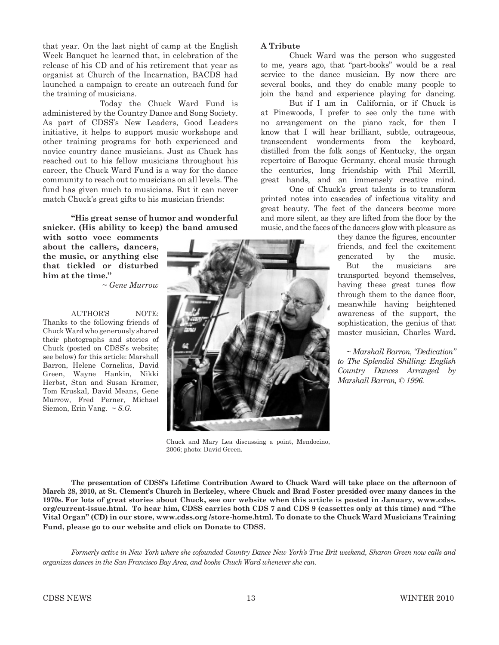that year. On the last night of camp at the English Week Banquet he learned that, in celebration of the release of his CD and of his retirement that year as organist at Church of the Incarnation, BACDS had launched a campaign to create an outreach fund for the training of musicians.

 Today the Chuck Ward Fund is administered by the Country Dance and Song Society. As part of CDSS's New Leaders, Good Leaders initiative, it helps to support music workshops and other training programs for both experienced and novice country dance musicians. Just as Chuck has reached out to his fellow musicians throughout his career, the Chuck Ward Fund is a way for the dance community to reach out to musicians on all levels. The fund has given much to musicians. But it can never match Chuck's great gifts to his musician friends:

#### **"His great sense of humor and wonderful snicker. (His ability to keep) the band amused**

**with sotto voce comments about the callers, dancers, the music, or anything else that tickled or disturbed him at the time."**

*~ Gene Murrow*

AUTHOR'S NOTE: Thanks to the following friends of Chuck Ward who generously shared their photographs and stories of Chuck (posted on CDSS's website; see below) for this article: Marshall Barron, Helene Cornelius, David Green, Wayne Hankin, Nikki Herbst, Stan and Susan Kramer, Tom Kruskal, David Means, Gene Murrow, Fred Perner, Michael Siemon, Erin Vang. *~ S.G.*

#### **A Tribute**

Chuck Ward was the person who suggested to me, years ago, that "part-books" would be a real service to the dance musician. By now there are several books, and they do enable many people to join the band and experience playing for dancing.

But if I am in California, or if Chuck is at Pinewoods, I prefer to see only the tune with no arrangement on the piano rack, for then I know that I will hear brilliant, subtle, outrageous, transcendent wonderments from the keyboard, distilled from the folk songs of Kentucky, the organ repertoire of Baroque Germany, choral music through the centuries, long friendship with Phil Merrill, great hands, and an immensely creative mind.

One of Chuck's great talents is to transform printed notes into cascades of infectious vitality and great beauty. The feet of the dancers become more and more silent, as they are lifted from the floor by the music, and the faces of the dancers glow with pleasure as

> they dance the figures, encounter friends, and feel the excitement generated by the music. But the musicians are transported beyond themselves, having these great tunes flow through them to the dance floor, meanwhile having heightened awareness of the support, the sophistication, the genius of that master musician, Charles Ward**.**

*~ Marshall Barron, "Dedication" to The Splendid Shilling: English Country Dances Arranged by Marshall Barron, © 1996.*



Chuck and Mary Lea discussing a point, Mendocino, 2006; photo: David Green.

**The presentation of CDSS's Lifetime Contribution Award to Chuck Ward will take place on the afternoon of March 28, 2010, at St. Clement's Church in Berkeley, where Chuck and Brad Foster presided over many dances in the 1970s. For lots of great stories about Chuck, see our website when this article is posted in January, www.cdss. org/current-issue.html. To hear him, CDSS carries both CDS 7 and CDS 9 (cassettes only at this time) and "The Vital Organ" (CD) in our store, www.cdss.org /store-home.html. To donate to the Chuck Ward Musicians Training Fund, please go to our website and click on Donate to CDSS.** 

*Formerly active in New York where she cofounded Country Dance New York's True Brit weekend, Sharon Green now calls and organizes dances in the San Francisco Bay Area, and books Chuck Ward whenever she can.*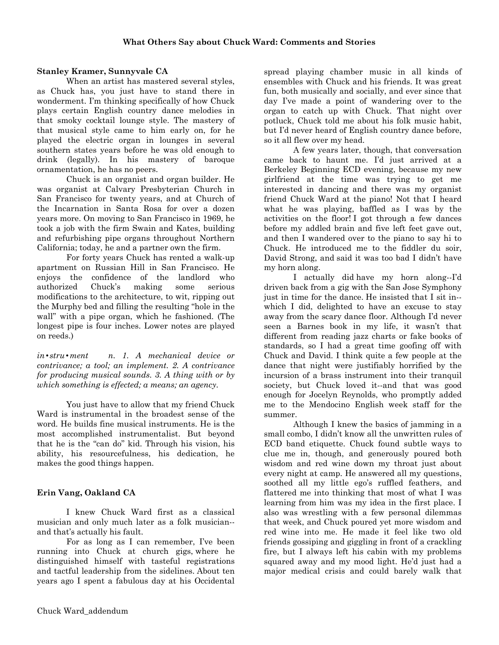# **Stanley Kramer, Sunnyvale CA**

When an artist has mastered several styles, as Chuck has, you just have to stand there in wonderment. I'm thinking specifically of how Chuck plays certain English country dance melodies in that smoky cocktail lounge style. The mastery of that musical style came to him early on, for he played the electric organ in lounges in several southern states years before he was old enough to drink (legally). In his mastery of baroque ornamentation, he has no peers.

Chuck is an organist and organ builder. He was organist at Calvary Presbyterian Church in San Francisco for twenty years, and at Church of the Incarnation in Santa Rosa for over a dozen years more. On moving to San Francisco in 1969, he took a job with the firm Swain and Kates, building and refurbishing pipe organs throughout Northern California; today, he and a partner own the firm.

For forty years Chuck has rented a walk-up apartment on Russian Hill in San Francisco. He enjoys the confidence of the landlord who authorized Chuck's making some serious modifications to the architecture, to wit, ripping out the Murphy bed and filling the resulting "hole in the wall" with a pipe organ, which he fashioned. (The longest pipe is four inches. Lower notes are played on reeds.)

 $in$ **\***stru **\*** *ment* n. 1. A mechanical device or *contrivance; a tool; an implement. 2. A contrivance for producing musical sounds. 3. A thing with or by which something is effected; a means; an agency.* 

You just have to allow that my friend Chuck Ward is instrumental in the broadest sense of the word. He builds fine musical instruments. He is the most accomplished instrumentalist. But beyond that he is the "can do" kid. Through his vision, his ability, his resourcefulness, his dedication, he makes the good things happen.

# **Erin Vang, Oakland CA**

I knew Chuck Ward first as a classical musician and only much later as a folk musician- and that's actually his fault.

For as long as I can remember, I've been running into Chuck at church gigs, where he distinguished himself with tasteful registrations and tactful leadership from the sidelines. About ten years ago I spent a fabulous day at his Occidental spread playing chamber music in all kinds of ensembles with Chuck and his friends. It was great fun, both musically and socially, and ever since that day I've made a point of wandering over to the organ to catch up with Chuck. That night over potluck, Chuck told me about his folk music habit, but I'd never heard of English country dance before, so it all flew over my head.

A few years later, though, that conversation came back to haunt me. I'd just arrived at a Berkeley Beginning ECD evening, because my new girlfriend at the time was trying to get me interested in dancing and there was my organist friend Chuck Ward at the piano! Not that I heard what he was playing, baffled as I was by the activities on the floor! I got through a few dances before my addled brain and five left feet gave out, and then I wandered over to the piano to say hi to Chuck. He introduced me to the fiddler du soir, David Strong, and said it was too bad I didn't have my horn along.

I actually did have my horn along--I'd driven back from a gig with the San Jose Symphony just in time for the dance. He insisted that I sit in- which I did, delighted to have an excuse to stay away from the scary dance floor. Although I'd never seen a Barnes book in my life, it wasn't that different from reading jazz charts or fake books of standards, so I had a great time goofing off with Chuck and David. I think quite a few people at the dance that night were justifiably horrified by the incursion of a brass instrument into their tranquil society, but Chuck loved it--and that was good enough for Jocelyn Reynolds, who promptly added me to the Mendocino English week staff for the summer.

Although I knew the basics of jamming in a small combo, I didn't know all the unwritten rules of ECD band etiquette. Chuck found subtle ways to clue me in, though, and generously poured both wisdom and red wine down my throat just about every night at camp. He answered all my questions, soothed all my little ego's ruffled feathers, and flattered me into thinking that most of what I was learning from him was my idea in the first place. I also was wrestling with a few personal dilemmas that week, and Chuck poured yet more wisdom and red wine into me. He made it feel like two old friends gossiping and giggling in front of a crackling fire, but I always left his cabin with my problems squared away and my mood light. He'd just had a major medical crisis and could barely walk that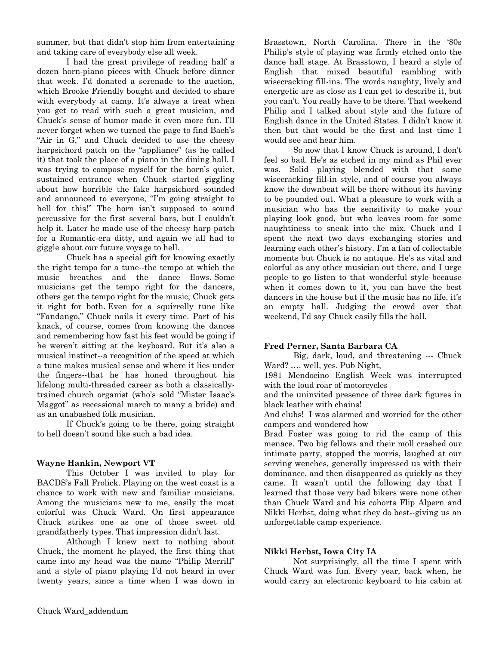summer, but that didn't stop him from entertaining and taking care of everybody else all week.

I had the great privilege of reading half a dozen horn-piano pieces with Chuck before dinner that week. I'd donated a serenade to the auction, which Brooke Friendly bought and decided to share with everybody at camp. It's always a treat when you get to read with such a great musician, and Chuck's sense of humor made it even more fun. I'll never forget when we turned the page to find Bach's "Air in G," and Chuck decided to use the cheesy harpsichord patch on the "appliance" (as he called it) that took the place of a piano in the dining hall. I was trying to compose myself for the horn's quiet, sustained entrance when Chuck started giggling about how horrible the fake harpsichord sounded and announced to everyone, "I'm going straight to hell for this!" The horn isn't supposed to sound percussive for the first several bars, but I couldn't help it. Later he made use of the cheesy harp patch for a Romantic-era ditty, and again we all had to giggle about our future voyage to hell.

Chuck has a special gift for knowing exactly the right tempo for a tune--the tempo at which the music breathes and the dance flows. Some musicians get the tempo right for the dancers, others get the tempo right for the music; Chuck gets it right for both. Even for a squirrelly tune like "Fandango," Chuck nails it every time. Part of his knack, of course, comes from knowing the dances and remembering how fast his feet would be going if he weren't sitting at the keyboard. But it's also a musical instinct--a recognition of the speed at which a tune makes musical sense and where it lies under the fingers--that he has honed throughout his lifelong multi-threaded career as both a classicallytrained church organist (who's sold "Mister Isaac's Maggot" as recessional march to many a bride) and as an unabashed folk musician.

If Chuck's going to be there, going straight to hell doesn't sound like such a bad idea.

# **Wayne Hankin, Newport VT**

This October I was invited to play for BACDS's Fall Frolick. Playing on the west coast is a chance to work with new and familiar musicians. Among the musicians new to me, easily the most colorful was Chuck Ward. On first appearance Chuck strikes one as one of those sweet old grandfatherly types. That impression didn't last.

Although I knew next to nothing about Chuck, the moment he played, the first thing that came into my head was the name "Philip Merrill" and a style of piano playing I'd not heard in over twenty years, since a time when I was down in

Brasstown, North Carolina. There in the '80s Philip's style of playing was firmly etched onto the dance hall stage. At Brasstown, I heard a style of English that mixed beautiful rambling with wisecracking fill-ins. The words naughty, lively and energetic are as close as I can get to describe it, but you can't. You really have to be there. That weekend Philip and I talked about style and the future of English dance in the United States. I didn't know it then but that would be the first and last time I would see and hear him.

So now that I know Chuck is around, I don't feel so bad. He's as etched in my mind as Phil ever was. Solid playing blended with that same wisecracking fill-in style, and of course you always know the downbeat will be there without its having to be pounded out. What a pleasure to work with a musician who has the sensitivity to make your playing look good, but who leaves room for some naughtiness to sneak into the mix. Chuck and I spent the next two days exchanging stories and learning each other's history. I'm a fan of collectable moments but Chuck is no antique. He's as vital and colorful as any other musician out there, and I urge people to go listen to that wonderful style because when it comes down to it, you can have the best dancers in the house but if the music has no life, it's an empty hall. Judging the crowd over that weekend, I'd say Chuck easily fills the hall.

#### **Fred Perner, Santa Barbara CA**

Big, dark, loud, and threatening --- Chuck Ward? .... well, yes. Pub Night,

1981 Mendocino English Week was interrupted with the loud roar of motorcycles

and the uninvited presence of three dark figures in black leather with chains!

And clubs! I was alarmed and worried for the other campers and wondered how

Brad Foster was going to rid the camp of this menace. Two big fellows and their moll crashed our intimate party, stopped the morris, laughed at our serving wenches, generally impressed us with their dominance, and then disappeared as quickly as they came. It wasn't until the following day that I learned that those very bad bikers were none other than Chuck Ward and his cohorts Flip Alpern and Nikki Herbst, doing what they do best--giving us an unforgettable camp experience.

# **Nikki Herbst, Iowa City IA**

Not surprisingly, all the time I spent with Chuck Ward was fun. Every year, back when, he would carry an electronic keyboard to his cabin at